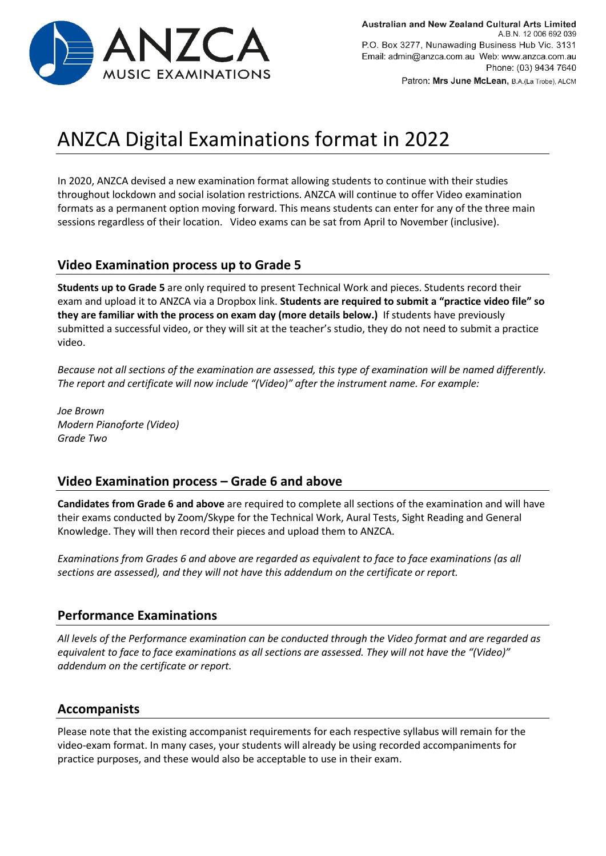

# ANZCA Digital Examinations format in 2022

In 2020, ANZCA devised a new examination format allowing students to continue with their studies throughout lockdown and social isolation restrictions. ANZCA will continue to offer Video examination formats as a permanent option moving forward. This means students can enter for any of the three main sessions regardless of their location. Video exams can be sat from April to November (inclusive).

## **Video Examination process up to Grade 5**

**Students up to Grade 5** are only required to present Technical Work and pieces. Students record their exam and upload it to ANZCA via a Dropbox link. **Students are required to submit a "practice video file" so they are familiar with the process on exam day (more details below.)** If students have previously submitted a successful video, or they will sit at the teacher's studio, they do not need to submit a practice video.

*Because not all sections of the examination are assessed, this type of examination will be named differently. The report and certificate will now include "(Video)" after the instrument name. For example:*

*Joe Brown Modern Pianoforte (Video) Grade Two*

## **Video Examination process – Grade 6 and above**

**Candidates from Grade 6 and above** are required to complete all sections of the examination and will have their exams conducted by Zoom/Skype for the Technical Work, Aural Tests, Sight Reading and General Knowledge. They will then record their pieces and upload them to ANZCA.

*Examinations from Grades 6 and above are regarded as equivalent to face to face examinations (as all sections are assessed), and they will not have this addendum on the certificate or report.* 

## **Performance Examinations**

*All levels of the Performance examination can be conducted through the Video format and are regarded as equivalent to face to face examinations as all sections are assessed. They will not have the "(Video)" addendum on the certificate or report.* 

## **Accompanists**

Please note that the existing accompanist requirements for each respective syllabus will remain for the video-exam format. In many cases, your students will already be using recorded accompaniments for practice purposes, and these would also be acceptable to use in their exam.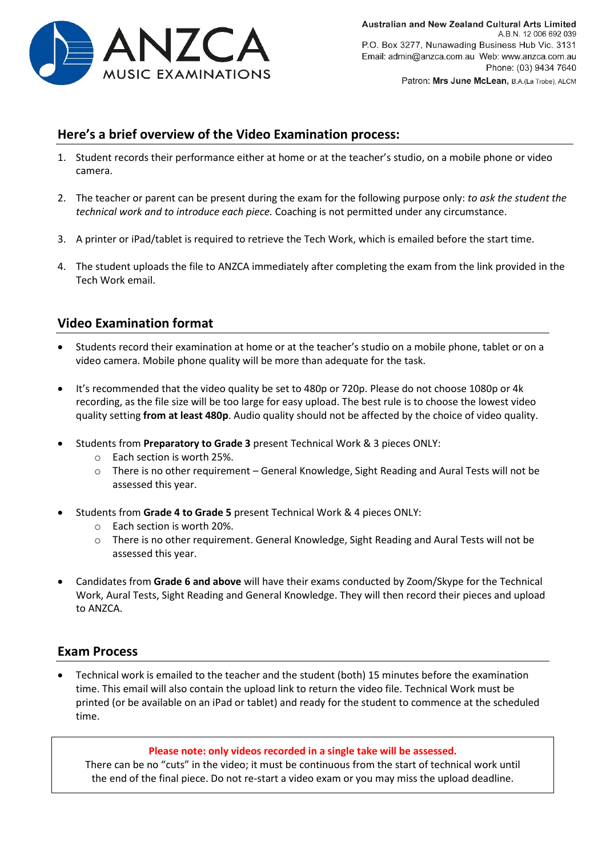

## **Here's a brief overview of the Video Examination process:**

- 1. Student records their performance either at home or at the teacher's studio, on a mobile phone or video camera.
- 2. The teacher or parent can be present during the exam for the following purpose only: *to ask the student the technical work and to introduce each piece.* Coaching is not permitted under any circumstance.
- 3. A printer or iPad/tablet is required to retrieve the Tech Work, which is emailed before the start time.
- 4. The student uploads the file to ANZCA immediately after completing the exam from the link provided in the Tech Work email.

## **Video Examination format**

- Students record their examination at home or at the teacher's studio on a mobile phone, tablet or on a video camera. Mobile phone quality will be more than adequate for the task.
- It's recommended that the video quality be set to 480p or 720p. Please do not choose 1080p or 4k recording, as the file size will be too large for easy upload. The best rule is to choose the lowest video quality setting **from at least 480p**. Audio quality should not be affected by the choice of video quality.
- Students from **Preparatory to Grade 3** present Technical Work & 3 pieces ONLY:
	- o Each section is worth 25%.
	- o There is no other requirement General Knowledge, Sight Reading and Aural Tests will not be assessed this year.
- Students from **Grade 4 to Grade 5** present Technical Work & 4 pieces ONLY:
	- o Each section is worth 20%.
	- o There is no other requirement. General Knowledge, Sight Reading and Aural Tests will not be assessed this year.
- Candidates from **Grade 6 and above** will have their exams conducted by Zoom/Skype for the Technical Work, Aural Tests, Sight Reading and General Knowledge. They will then record their pieces and upload to ANZCA.

## **Exam Process**

• Technical work is emailed to the teacher and the student (both) 15 minutes before the examination time. This email will also contain the upload link to return the video file. Technical Work must be printed (or be available on an iPad or tablet) and ready for the student to commence at the scheduled time.

#### **Please note: only videos recorded in a single take will be assessed.**

There can be no "cuts" in the video; it must be continuous from the start of technical work until the end of the final piece. Do not re-start a video exam or you may miss the upload deadline.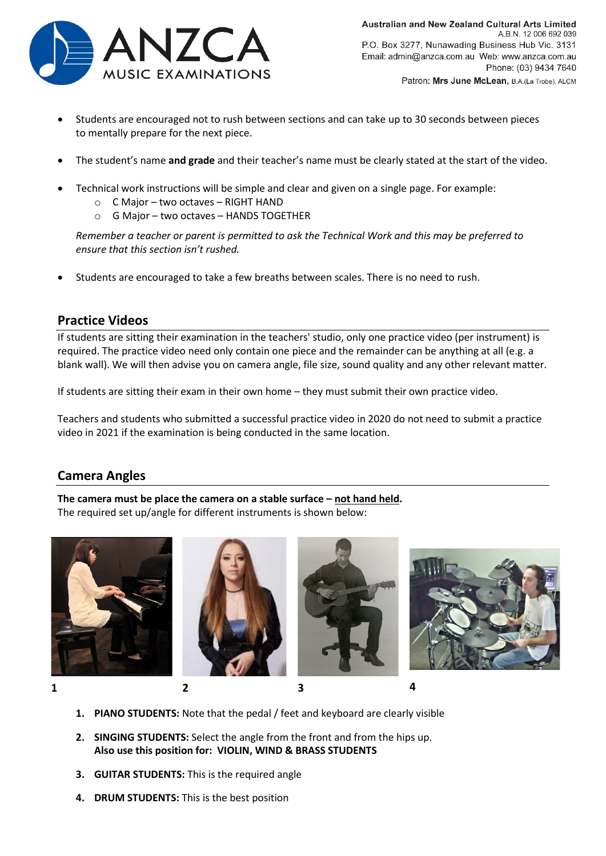

- Students are encouraged not to rush between sections and can take up to 30 seconds between pieces to mentally prepare for the next piece.
- The student's name **and grade** and their teacher's name must be clearly stated at the start of the video.
- Technical work instructions will be simple and clear and given on a single page. For example:
	- o C Major two octaves RIGHT HAND
	- o G Major two octaves HANDS TOGETHER

*Remember a teacher or parent is permitted to ask the Technical Work and this may be preferred to ensure that this section isn't rushed.* 

• Students are encouraged to take a few breaths between scales. There is no need to rush.

## **Practice Videos**

If students are sitting their examination in the teachers' studio, only one practice video (per instrument) is required. The practice video need only contain one piece and the remainder can be anything at all (e.g. a blank wall). We will then advise you on camera angle, file size, sound quality and any other relevant matter.

If students are sitting their exam in their own home – they must submit their own practice video.

Teachers and students who submitted a successful practice video in 2020 do not need to submit a practice video in 2021 if the examination is being conducted in the same location.

## **Camera Angles**

**The camera must be place the camera on a stable surface – not hand held.** The required set up/angle for different instruments is shown below:











- **1. PIANO STUDENTS:** Note that the pedal / feet and keyboard are clearly visible
- **2. SINGING STUDENTS:** Select the angle from the front and from the hips up. **Also use this position for: VIOLIN, WIND & BRASS STUDENTS**
- **3. GUITAR STUDENTS:** This is the required angle
- **4. DRUM STUDENTS:** This is the best position